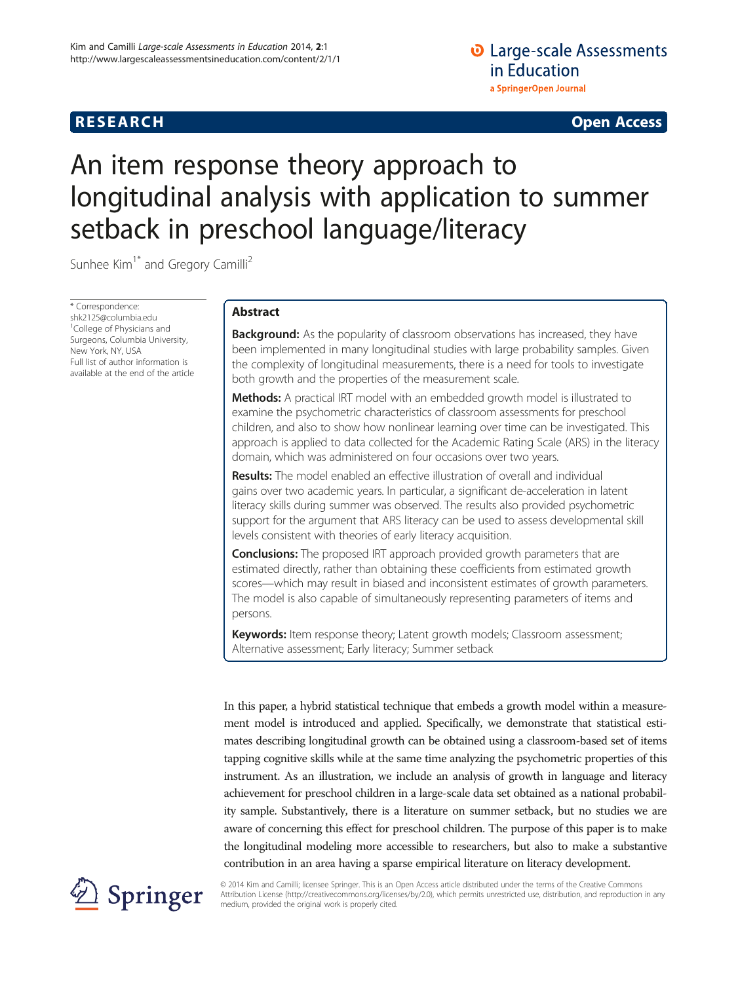# **RESEARCH RESEARCH CONSUMING ACCESS**

# **D** Large-scale Assessments in Education a SpringerOpen Journal

# An item response theory approach to longitudinal analysis with application to summer setback in preschool language/literacy

Sunhee  $Kim<sup>1*</sup>$  and Gregory Camilli<sup>2</sup>

\* Correspondence: [shk2125@columbia.edu](mailto:shk2125@columbia.edu) <sup>1</sup>College of Physicians and Surgeons, Columbia University, New York, NY, USA Full list of author information is available at the end of the article

## Abstract

**Background:** As the popularity of classroom observations has increased, they have been implemented in many longitudinal studies with large probability samples. Given the complexity of longitudinal measurements, there is a need for tools to investigate both growth and the properties of the measurement scale.

Methods: A practical IRT model with an embedded growth model is illustrated to examine the psychometric characteristics of classroom assessments for preschool children, and also to show how nonlinear learning over time can be investigated. This approach is applied to data collected for the Academic Rating Scale (ARS) in the literacy domain, which was administered on four occasions over two years.

**Results:** The model enabled an effective illustration of overall and individual gains over two academic years. In particular, a significant de-acceleration in latent literacy skills during summer was observed. The results also provided psychometric support for the argument that ARS literacy can be used to assess developmental skill levels consistent with theories of early literacy acquisition.

**Conclusions:** The proposed IRT approach provided growth parameters that are estimated directly, rather than obtaining these coefficients from estimated growth scores—which may result in biased and inconsistent estimates of growth parameters. The model is also capable of simultaneously representing parameters of items and persons.

Keywords: Item response theory; Latent growth models; Classroom assessment; Alternative assessment; Early literacy; Summer setback

In this paper, a hybrid statistical technique that embeds a growth model within a measurement model is introduced and applied. Specifically, we demonstrate that statistical estimates describing longitudinal growth can be obtained using a classroom-based set of items tapping cognitive skills while at the same time analyzing the psychometric properties of this instrument. As an illustration, we include an analysis of growth in language and literacy achievement for preschool children in a large-scale data set obtained as a national probability sample. Substantively, there is a literature on summer setback, but no studies we are aware of concerning this effect for preschool children. The purpose of this paper is to make the longitudinal modeling more accessible to researchers, but also to make a substantive contribution in an area having a sparse empirical literature on literacy development.



© 2014 Kim and Camilli; licensee Springer. This is an Open Access article distributed under the terms of the Creative Commons Attribution License [\(http://creativecommons.org/licenses/by/2.0\)](http://creativecommons.org/licenses/by/2.0), which permits unrestricted use, distribution, and reproduction in any medium, provided the original work is properly cited.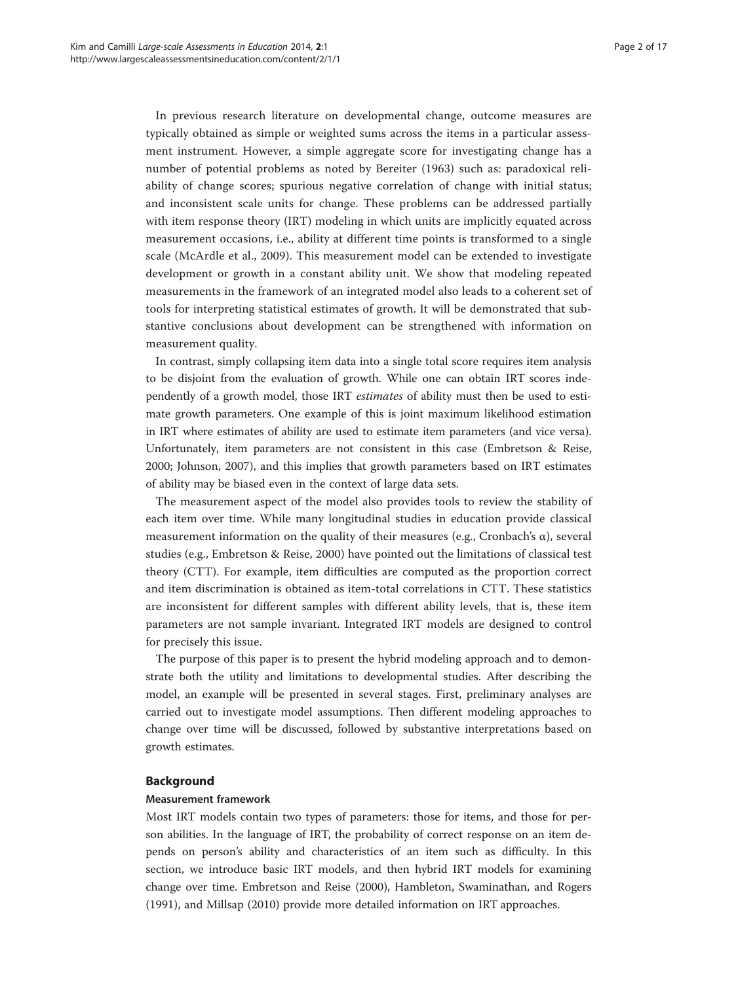In previous research literature on developmental change, outcome measures are typically obtained as simple or weighted sums across the items in a particular assessment instrument. However, a simple aggregate score for investigating change has a number of potential problems as noted by Bereiter ([1963\)](#page-15-0) such as: paradoxical reliability of change scores; spurious negative correlation of change with initial status; and inconsistent scale units for change. These problems can be addressed partially with item response theory (IRT) modeling in which units are implicitly equated across measurement occasions, i.e., ability at different time points is transformed to a single scale (McArdle et al., [2009](#page-16-0)). This measurement model can be extended to investigate development or growth in a constant ability unit. We show that modeling repeated measurements in the framework of an integrated model also leads to a coherent set of tools for interpreting statistical estimates of growth. It will be demonstrated that substantive conclusions about development can be strengthened with information on measurement quality.

In contrast, simply collapsing item data into a single total score requires item analysis to be disjoint from the evaluation of growth. While one can obtain IRT scores independently of a growth model, those IRT estimates of ability must then be used to estimate growth parameters. One example of this is joint maximum likelihood estimation in IRT where estimates of ability are used to estimate item parameters (and vice versa). Unfortunately, item parameters are not consistent in this case (Embretson & Reise, [2000](#page-15-0); Johnson, [2007](#page-16-0)), and this implies that growth parameters based on IRT estimates of ability may be biased even in the context of large data sets.

The measurement aspect of the model also provides tools to review the stability of each item over time. While many longitudinal studies in education provide classical measurement information on the quality of their measures (e.g., Cronbach's α), several studies (e.g., Embretson & Reise, [2000](#page-15-0)) have pointed out the limitations of classical test theory (CTT). For example, item difficulties are computed as the proportion correct and item discrimination is obtained as item-total correlations in CTT. These statistics are inconsistent for different samples with different ability levels, that is, these item parameters are not sample invariant. Integrated IRT models are designed to control for precisely this issue.

The purpose of this paper is to present the hybrid modeling approach and to demonstrate both the utility and limitations to developmental studies. After describing the model, an example will be presented in several stages. First, preliminary analyses are carried out to investigate model assumptions. Then different modeling approaches to change over time will be discussed, followed by substantive interpretations based on growth estimates.

#### **Background**

#### Measurement framework

Most IRT models contain two types of parameters: those for items, and those for person abilities. In the language of IRT, the probability of correct response on an item depends on person's ability and characteristics of an item such as difficulty. In this section, we introduce basic IRT models, and then hybrid IRT models for examining change over time. Embretson and Reise [\(2000\)](#page-15-0), Hambleton, Swaminathan, and Rogers ([1991](#page-16-0)), and Millsap ([2010\)](#page-16-0) provide more detailed information on IRT approaches.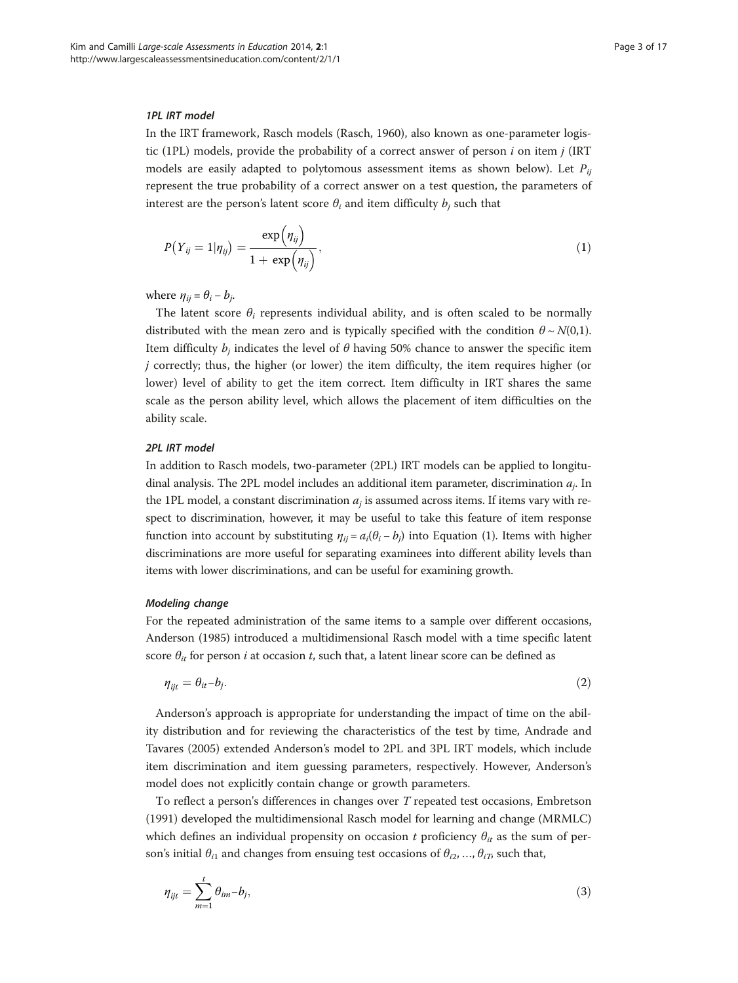#### <span id="page-2-0"></span>1PL IRT model

In the IRT framework, Rasch models (Rasch, [1960\)](#page-16-0), also known as one-parameter logistic (1PL) models, provide the probability of a correct answer of person  $i$  on item  $j$  (IRT models are easily adapted to polytomous assessment items as shown below). Let  $P_{ii}$ represent the true probability of a correct answer on a test question, the parameters of interest are the person's latent score  $\theta_i$  and item difficulty  $b_i$  such that

$$
P(Y_{ij}=1|\eta_{ij})=\frac{\exp\left(\eta_{ij}\right)}{1+\exp\left(\eta_{ij}\right)},\tag{1}
$$

where  $\eta_{ij} = \theta_i - b_j$ .

The latent score  $\theta_i$  represents individual ability, and is often scaled to be normally distributed with the mean zero and is typically specified with the condition  $\theta \sim N(0,1)$ . Item difficulty  $b_i$  indicates the level of  $\theta$  having 50% chance to answer the specific item j correctly; thus, the higher (or lower) the item difficulty, the item requires higher (or lower) level of ability to get the item correct. Item difficulty in IRT shares the same scale as the person ability level, which allows the placement of item difficulties on the ability scale.

#### 2PL IRT model

In addition to Rasch models, two-parameter (2PL) IRT models can be applied to longitudinal analysis. The 2PL model includes an additional item parameter, discrimination  $a_i$ . In the 1PL model, a constant discrimination  $a_i$  is assumed across items. If items vary with respect to discrimination, however, it may be useful to take this feature of item response function into account by substituting  $\eta_{ij} = a_i(\theta_i - b_j)$  into Equation (1). Items with higher discriminations are more useful for separating examinees into different ability levels than items with lower discriminations, and can be useful for examining growth.

#### Modeling change

For the repeated administration of the same items to a sample over different occasions, Anderson [\(1985\)](#page-15-0) introduced a multidimensional Rasch model with a time specific latent score  $\theta_{it}$  for person i at occasion t, such that, a latent linear score can be defined as

$$
\eta_{ijt} = \theta_{it} - b_j. \tag{2}
$$

Anderson's approach is appropriate for understanding the impact of time on the ability distribution and for reviewing the characteristics of the test by time, Andrade and Tavares ([2005](#page-15-0)) extended Anderson's model to 2PL and 3PL IRT models, which include item discrimination and item guessing parameters, respectively. However, Anderson's model does not explicitly contain change or growth parameters.

To reflect a person's differences in changes over T repeated test occasions, Embretson ([1991](#page-15-0)) developed the multidimensional Rasch model for learning and change (MRMLC) which defines an individual propensity on occasion t proficiency  $\theta_{it}$  as the sum of person's initial  $\theta_{i1}$  and changes from ensuing test occasions of  $\theta_{i2}$ , ...,  $\theta_{iT}$ , such that,

$$
\eta_{ijt} = \sum_{m=1}^{t} \theta_{im} - b_j,\tag{3}
$$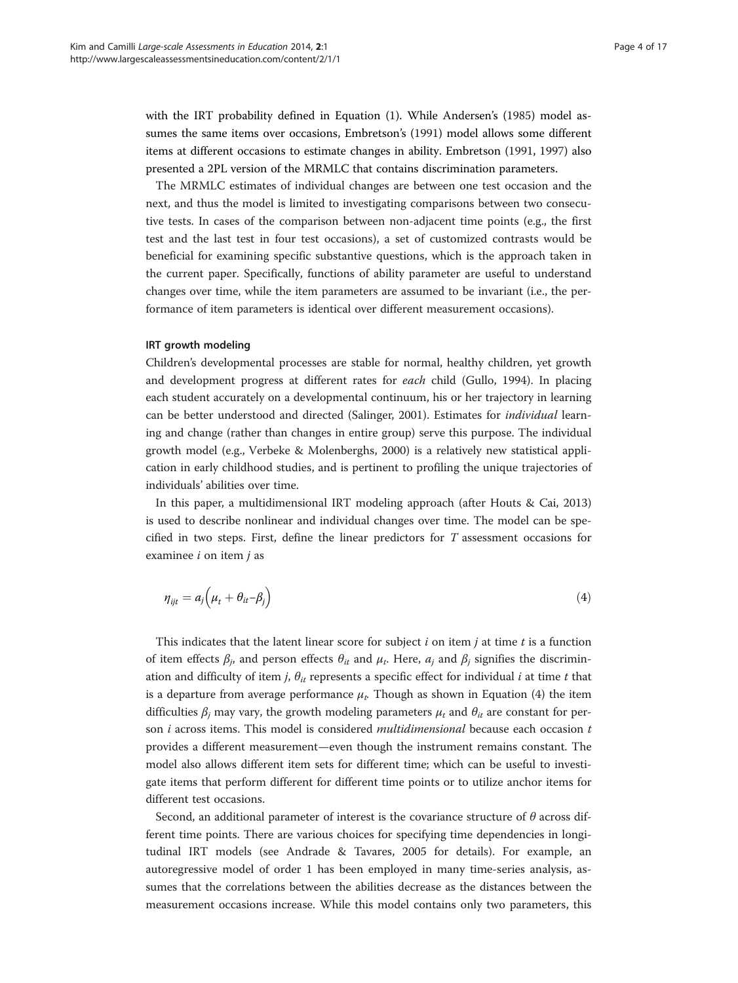<span id="page-3-0"></span>with the IRT probability defined in Equation [\(1](#page-2-0)). While Andersen's [\(1985\)](#page-15-0) model assumes the same items over occasions, Embretson's [\(1991](#page-15-0)) model allows some different items at different occasions to estimate changes in ability. Embretson ([1991](#page-15-0), [1997](#page-15-0)) also presented a 2PL version of the MRMLC that contains discrimination parameters.

The MRMLC estimates of individual changes are between one test occasion and the next, and thus the model is limited to investigating comparisons between two consecutive tests. In cases of the comparison between non-adjacent time points (e.g., the first test and the last test in four test occasions), a set of customized contrasts would be beneficial for examining specific substantive questions, which is the approach taken in the current paper. Specifically, functions of ability parameter are useful to understand changes over time, while the item parameters are assumed to be invariant (i.e., the performance of item parameters is identical over different measurement occasions).

#### IRT growth modeling

Children's developmental processes are stable for normal, healthy children, yet growth and development progress at different rates for each child (Gullo, [1994](#page-15-0)). In placing each student accurately on a developmental continuum, his or her trajectory in learning can be better understood and directed (Salinger, [2001](#page-16-0)). Estimates for individual learning and change (rather than changes in entire group) serve this purpose. The individual growth model (e.g., Verbeke & Molenberghs, [2000\)](#page-16-0) is a relatively new statistical application in early childhood studies, and is pertinent to profiling the unique trajectories of individuals' abilities over time.

In this paper, a multidimensional IRT modeling approach (after Houts & Cai, [2013](#page-16-0)) is used to describe nonlinear and individual changes over time. The model can be specified in two steps. First, define the linear predictors for  $T$  assessment occasions for examinee  $i$  on item  $j$  as

$$
\eta_{ijt} = a_j \Big( \mu_t + \theta_{it} - \beta_j \Big) \tag{4}
$$

This indicates that the latent linear score for subject  $i$  on item  $j$  at time  $t$  is a function of item effects  $\beta_i$ , and person effects  $\theta_{it}$  and  $\mu_t$ . Here,  $a_i$  and  $\beta_i$  signifies the discrimination and difficulty of item j,  $\theta_{it}$  represents a specific effect for individual i at time t that is a departure from average performance  $\mu_t$ . Though as shown in Equation (4) the item difficulties  $\beta_i$  may vary, the growth modeling parameters  $\mu_t$  and  $\theta_{it}$  are constant for person *i* across items. This model is considered *multidimensional* because each occasion *t* provides a different measurement—even though the instrument remains constant. The model also allows different item sets for different time; which can be useful to investigate items that perform different for different time points or to utilize anchor items for different test occasions.

Second, an additional parameter of interest is the covariance structure of  $\theta$  across different time points. There are various choices for specifying time dependencies in longitudinal IRT models (see Andrade & Tavares, [2005](#page-15-0) for details). For example, an autoregressive model of order 1 has been employed in many time-series analysis, assumes that the correlations between the abilities decrease as the distances between the measurement occasions increase. While this model contains only two parameters, this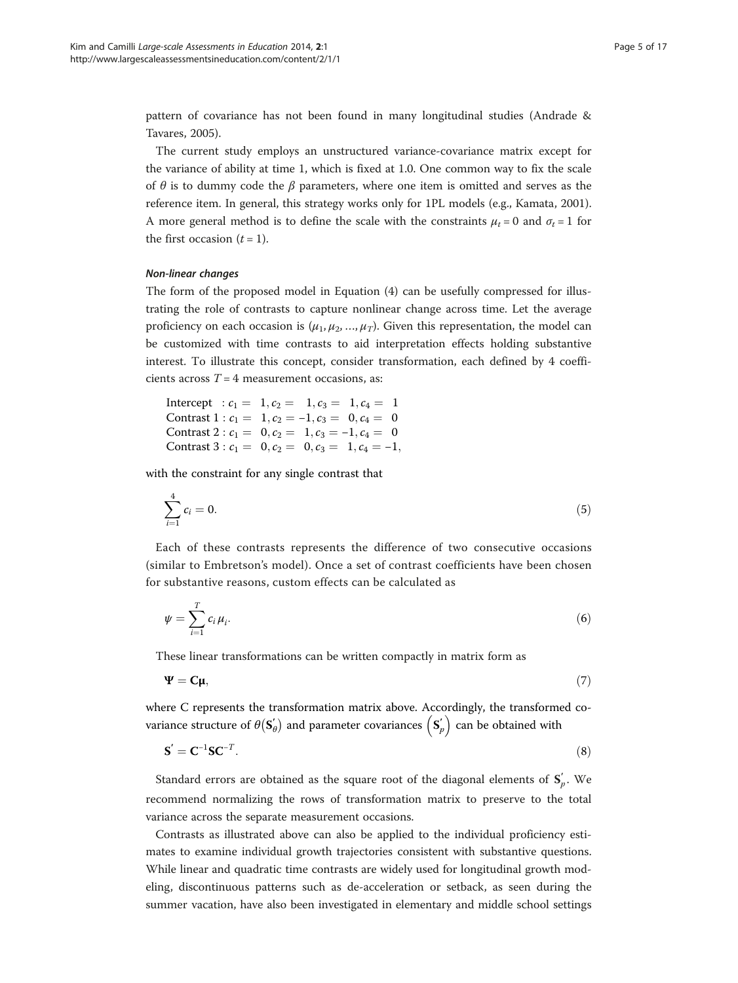pattern of covariance has not been found in many longitudinal studies (Andrade & Tavares, [2005](#page-15-0)).

The current study employs an unstructured variance-covariance matrix except for the variance of ability at time 1, which is fixed at 1.0. One common way to fix the scale of  $\theta$  is to dummy code the  $\beta$  parameters, where one item is omitted and serves as the reference item. In general, this strategy works only for 1PL models (e.g., Kamata, [2001](#page-16-0)). A more general method is to define the scale with the constraints  $\mu_t = 0$  and  $\sigma_t = 1$  for the first occasion  $(t = 1)$ .

#### Non-linear changes

The form of the proposed model in Equation [\(4](#page-3-0)) can be usefully compressed for illustrating the role of contrasts to capture nonlinear change across time. Let the average proficiency on each occasion is  $(\mu_1, \mu_2, ..., \mu_T)$ . Given this representation, the model can be customized with time contrasts to aid interpretation effects holding substantive interest. To illustrate this concept, consider transformation, each defined by 4 coefficients across  $T = 4$  measurement occasions, as:

Intercept :  $c_1 = 1, c_2 = 1, c_3 = 1, c_4 = 1$ Contrast  $1 : c_1 = 1, c_2 = -1, c_3 = 0, c_4 = 0$ Contrast 2 :  $c_1 = 0, c_2 = 1, c_3 = -1, c_4 = 0$ Contrast  $3: c_1 = 0, c_2 = 0, c_3 = 1, c_4 = -1$ ;

with the constraint for any single contrast that

$$
\sum_{i=1}^{4} c_i = 0. \tag{5}
$$

Each of these contrasts represents the difference of two consecutive occasions (similar to Embretson's model). Once a set of contrast coefficients have been chosen for substantive reasons, custom effects can be calculated as

$$
\psi = \sum_{i=1}^{T} c_i \mu_i. \tag{6}
$$

These linear transformations can be written compactly in matrix form as

 $\Psi = C\mu,$  (7)

where C represents the transformation matrix above. Accordingly, the transformed covariance structure of  $\theta(\mathbf{S}'_{\theta})$  and parameter covariances  $\left(\mathbf{S}'_{p}\right)$  can be obtained with

$$
\mathbf{S}' = \mathbf{C}^{-1} \mathbf{S} \mathbf{C}^{-T}.\tag{8}
$$

Standard errors are obtained as the square root of the diagonal elements of  $S'_p$ . We recommend normalizing the rows of transformation matrix to preserve to the total variance across the separate measurement occasions.

Contrasts as illustrated above can also be applied to the individual proficiency estimates to examine individual growth trajectories consistent with substantive questions. While linear and quadratic time contrasts are widely used for longitudinal growth modeling, discontinuous patterns such as de-acceleration or setback, as seen during the summer vacation, have also been investigated in elementary and middle school settings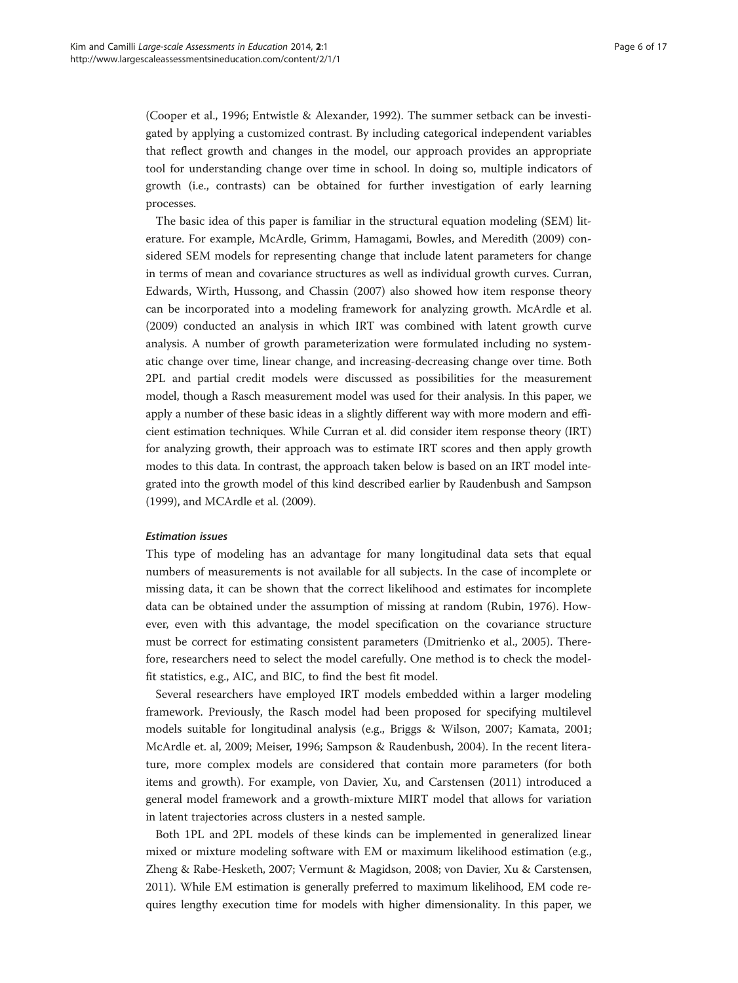(Cooper et al., [1996;](#page-15-0) Entwistle & Alexander, [1992](#page-15-0)). The summer setback can be investigated by applying a customized contrast. By including categorical independent variables that reflect growth and changes in the model, our approach provides an appropriate tool for understanding change over time in school. In doing so, multiple indicators of growth (i.e., contrasts) can be obtained for further investigation of early learning processes.

The basic idea of this paper is familiar in the structural equation modeling (SEM) literature. For example, McArdle, Grimm, Hamagami, Bowles, and Meredith ([2009\)](#page-16-0) considered SEM models for representing change that include latent parameters for change in terms of mean and covariance structures as well as individual growth curves. Curran, Edwards, Wirth, Hussong, and Chassin [\(2007\)](#page-15-0) also showed how item response theory can be incorporated into a modeling framework for analyzing growth. McArdle et al. ([2009](#page-16-0)) conducted an analysis in which IRT was combined with latent growth curve analysis. A number of growth parameterization were formulated including no systematic change over time, linear change, and increasing-decreasing change over time. Both 2PL and partial credit models were discussed as possibilities for the measurement model, though a Rasch measurement model was used for their analysis. In this paper, we apply a number of these basic ideas in a slightly different way with more modern and efficient estimation techniques. While Curran et al. did consider item response theory (IRT) for analyzing growth, their approach was to estimate IRT scores and then apply growth modes to this data. In contrast, the approach taken below is based on an IRT model integrated into the growth model of this kind described earlier by Raudenbush and Sampson ([1999\)](#page-16-0), and MCArdle et al. ([2009\)](#page-16-0).

#### Estimation issues

This type of modeling has an advantage for many longitudinal data sets that equal numbers of measurements is not available for all subjects. In the case of incomplete or missing data, it can be shown that the correct likelihood and estimates for incomplete data can be obtained under the assumption of missing at random (Rubin, [1976\)](#page-16-0). However, even with this advantage, the model specification on the covariance structure must be correct for estimating consistent parameters (Dmitrienko et al., [2005](#page-15-0)). Therefore, researchers need to select the model carefully. One method is to check the modelfit statistics, e.g., AIC, and BIC, to find the best fit model.

Several researchers have employed IRT models embedded within a larger modeling framework. Previously, the Rasch model had been proposed for specifying multilevel models suitable for longitudinal analysis (e.g., Briggs & Wilson, [2007;](#page-15-0) Kamata, [2001](#page-16-0); McArdle et. al, [2009](#page-16-0); Meiser, [1996](#page-16-0); Sampson & Raudenbush, [2004\)](#page-16-0). In the recent literature, more complex models are considered that contain more parameters (for both items and growth). For example, von Davier, Xu, and Carstensen [\(2011\)](#page-16-0) introduced a general model framework and a growth-mixture MIRT model that allows for variation in latent trajectories across clusters in a nested sample.

Both 1PL and 2PL models of these kinds can be implemented in generalized linear mixed or mixture modeling software with EM or maximum likelihood estimation (e.g., Zheng & Rabe-Hesketh, [2007](#page-16-0); Vermunt & Magidson, [2008;](#page-16-0) von Davier, Xu & Carstensen, [2011\)](#page-16-0). While EM estimation is generally preferred to maximum likelihood, EM code requires lengthy execution time for models with higher dimensionality. In this paper, we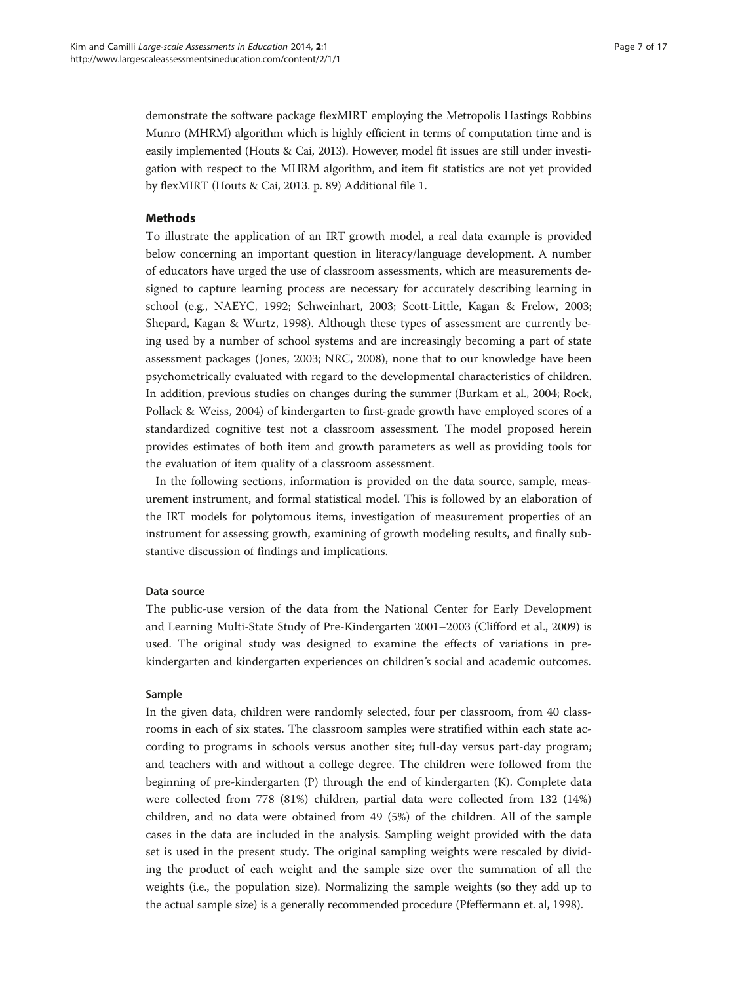demonstrate the software package flexMIRT employing the Metropolis Hastings Robbins Munro (MHRM) algorithm which is highly efficient in terms of computation time and is easily implemented (Houts & Cai, [2013](#page-16-0)). However, model fit issues are still under investigation with respect to the MHRM algorithm, and item fit statistics are not yet provided by flexMIRT (Houts & Cai, [2013](#page-16-0). p. 89) Additional file [1.](#page-15-0)

#### Methods

To illustrate the application of an IRT growth model, a real data example is provided below concerning an important question in literacy/language development. A number of educators have urged the use of classroom assessments, which are measurements designed to capture learning process are necessary for accurately describing learning in school (e.g., NAEYC, [1992;](#page-16-0) Schweinhart, [2003;](#page-16-0) Scott-Little, Kagan & Frelow, [2003](#page-16-0); Shepard, Kagan & Wurtz, [1998\)](#page-16-0). Although these types of assessment are currently being used by a number of school systems and are increasingly becoming a part of state assessment packages (Jones, [2003;](#page-16-0) NRC, [2008](#page-16-0)), none that to our knowledge have been psychometrically evaluated with regard to the developmental characteristics of children. In addition, previous studies on changes during the summer (Burkam et al., [2004;](#page-15-0) Rock, Pollack & Weiss, [2004\)](#page-16-0) of kindergarten to first-grade growth have employed scores of a standardized cognitive test not a classroom assessment. The model proposed herein provides estimates of both item and growth parameters as well as providing tools for the evaluation of item quality of a classroom assessment.

In the following sections, information is provided on the data source, sample, measurement instrument, and formal statistical model. This is followed by an elaboration of the IRT models for polytomous items, investigation of measurement properties of an instrument for assessing growth, examining of growth modeling results, and finally substantive discussion of findings and implications.

#### Data source

The public-use version of the data from the National Center for Early Development and Learning Multi-State Study of Pre-Kindergarten 2001–2003 (Clifford et al., [2009](#page-15-0)) is used. The original study was designed to examine the effects of variations in prekindergarten and kindergarten experiences on children's social and academic outcomes.

#### Sample

In the given data, children were randomly selected, four per classroom, from 40 classrooms in each of six states. The classroom samples were stratified within each state according to programs in schools versus another site; full-day versus part-day program; and teachers with and without a college degree. The children were followed from the beginning of pre-kindergarten (P) through the end of kindergarten (K). Complete data were collected from 778 (81%) children, partial data were collected from 132 (14%) children, and no data were obtained from 49 (5%) of the children. All of the sample cases in the data are included in the analysis. Sampling weight provided with the data set is used in the present study. The original sampling weights were rescaled by dividing the product of each weight and the sample size over the summation of all the weights (i.e., the population size). Normalizing the sample weights (so they add up to the actual sample size) is a generally recommended procedure (Pfeffermann et. al, [1998\)](#page-16-0).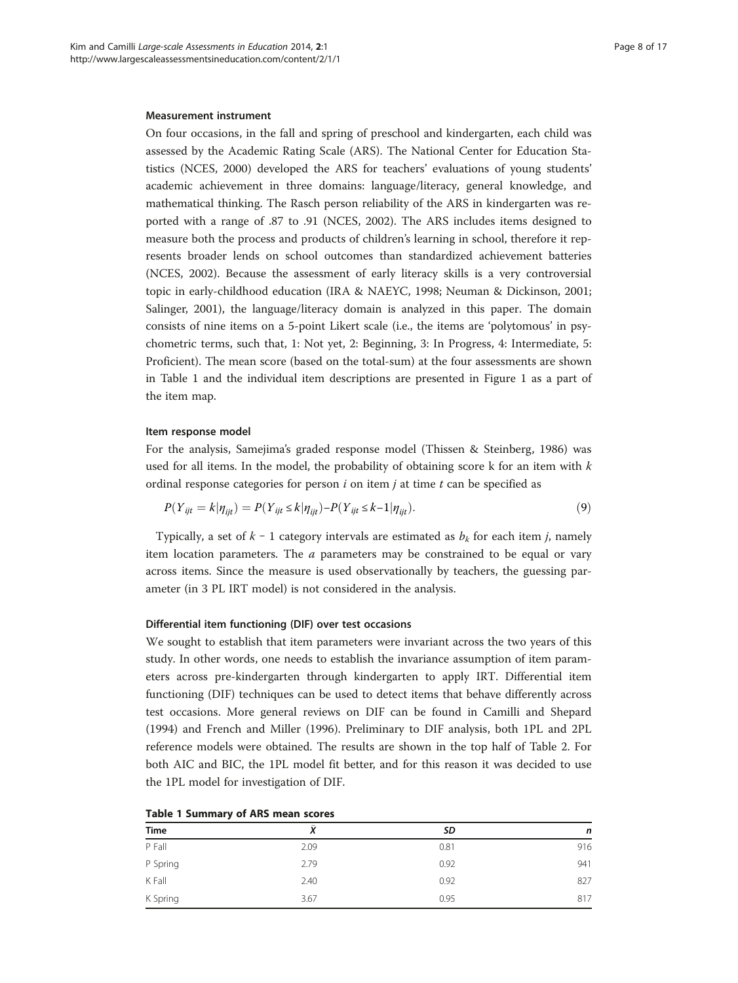#### Measurement instrument

On four occasions, in the fall and spring of preschool and kindergarten, each child was assessed by the Academic Rating Scale (ARS). The National Center for Education Statistics (NCES, [2000\)](#page-16-0) developed the ARS for teachers' evaluations of young students' academic achievement in three domains: language/literacy, general knowledge, and mathematical thinking. The Rasch person reliability of the ARS in kindergarten was reported with a range of .87 to .91 (NCES, [2002\)](#page-16-0). The ARS includes items designed to measure both the process and products of children's learning in school, therefore it represents broader lends on school outcomes than standardized achievement batteries (NCES, [2002](#page-16-0)). Because the assessment of early literacy skills is a very controversial topic in early-childhood education (IRA & NAEYC, [1998;](#page-16-0) Neuman & Dickinson, [2001](#page-16-0); Salinger, [2001](#page-16-0)), the language/literacy domain is analyzed in this paper. The domain consists of nine items on a 5-point Likert scale (i.e., the items are 'polytomous' in psychometric terms, such that, 1: Not yet, 2: Beginning, 3: In Progress, 4: Intermediate, 5: Proficient). The mean score (based on the total-sum) at the four assessments are shown in Table 1 and the individual item descriptions are presented in Figure [1](#page-8-0) as a part of the item map.

#### Item response model

For the analysis, Samejima's graded response model (Thissen & Steinberg, [1986](#page-16-0)) was used for all items. In the model, the probability of obtaining score  $k$  for an item with  $k$ ordinal response categories for person  $i$  on item  $j$  at time  $t$  can be specified as

$$
P(Y_{ijt} = k | \eta_{ijt}) = P(Y_{ijt} \le k | \eta_{ijt}) - P(Y_{ijt} \le k - 1 | \eta_{ijt}).
$$
\n(9)

Typically, a set of  $k - 1$  category intervals are estimated as  $b_k$  for each item j, namely item location parameters. The  $a$  parameters may be constrained to be equal or vary across items. Since the measure is used observationally by teachers, the guessing parameter (in 3 PL IRT model) is not considered in the analysis.

#### Differential item functioning (DIF) over test occasions

We sought to establish that item parameters were invariant across the two years of this study. In other words, one needs to establish the invariance assumption of item parameters across pre-kindergarten through kindergarten to apply IRT. Differential item functioning (DIF) techniques can be used to detect items that behave differently across test occasions. More general reviews on DIF can be found in Camilli and Shepard ([1994](#page-15-0)) and French and Miller [\(1996\)](#page-15-0). Preliminary to DIF analysis, both 1PL and 2PL reference models were obtained. The results are shown in the top half of Table [2.](#page-8-0) For both AIC and BIC, the 1PL model fit better, and for this reason it was decided to use the 1PL model for investigation of DIF.

| <b>Time</b> | х    | SD   | n   |  |  |
|-------------|------|------|-----|--|--|
| P Fall      | 2.09 | 0.81 | 916 |  |  |
| P Spring    | 2.79 | 0.92 | 941 |  |  |
| K Fall      | 2.40 | 0.92 | 827 |  |  |
| K Spring    | 3.67 | 0.95 | 817 |  |  |

|  | <b>Table 1 Summary of ARS mean scores</b> |  |  |  |
|--|-------------------------------------------|--|--|--|
|--|-------------------------------------------|--|--|--|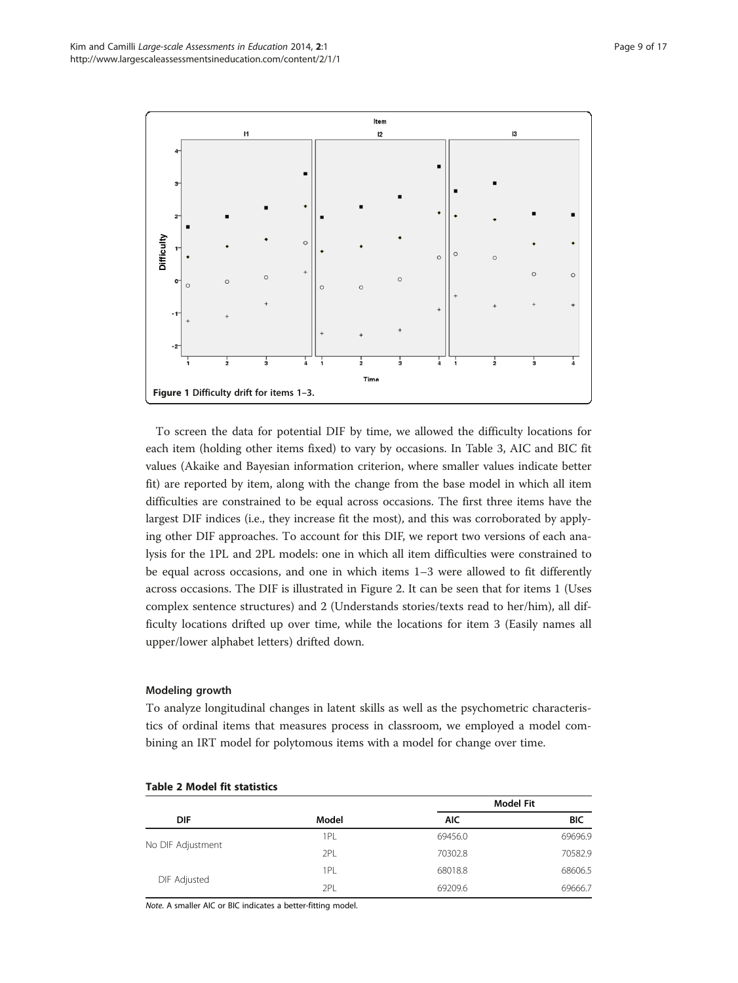<span id="page-8-0"></span>

To screen the data for potential DIF by time, we allowed the difficulty locations for each item (holding other items fixed) to vary by occasions. In Table [3](#page-9-0), AIC and BIC fit values (Akaike and Bayesian information criterion, where smaller values indicate better fit) are reported by item, along with the change from the base model in which all item difficulties are constrained to be equal across occasions. The first three items have the largest DIF indices (i.e., they increase fit the most), and this was corroborated by applying other DIF approaches. To account for this DIF, we report two versions of each analysis for the 1PL and 2PL models: one in which all item difficulties were constrained to be equal across occasions, and one in which items 1–3 were allowed to fit differently across occasions. The DIF is illustrated in Figure [2.](#page-9-0) It can be seen that for items 1 (Uses complex sentence structures) and 2 (Understands stories/texts read to her/him), all difficulty locations drifted up over time, while the locations for item 3 (Easily names all upper/lower alphabet letters) drifted down. **Example 12**<br> **Example 12**<br> **Example 12**<br> **Example 12**<br> **Example 12**<br> **Example 12**<br> **Example 12**<br> **Example 12**<br> **Example 12**<br> **Example 12**<br> **Example 12**<br> **Example 12**<br> **Example 12**<br> **Example 12**<br> **Example 12**<br> **Example 12** 

### Modeling growth

To analyze longitudinal changes in latent skills as well as the psychometric characteristics of ordinal items that measures process in classroom, we employed a model com-

|                   |       |         | <b>Model Fit</b> |
|-------------------|-------|---------|------------------|
| <b>DIF</b>        | Model | AIC.    | <b>BIC</b>       |
|                   | 1PL   | 69456.0 | 69696.9          |
| No DIF Adjustment | 2PI   | 70302.8 | 70582.9          |
| DIF Adjusted      | 1PL   | 68018.8 | 68606.5          |
|                   | 2PI   | 69209.6 | 69666.7          |

#### Table 2 Model fit statistics

Note. A smaller AIC or BIC indicates a better-fitting model.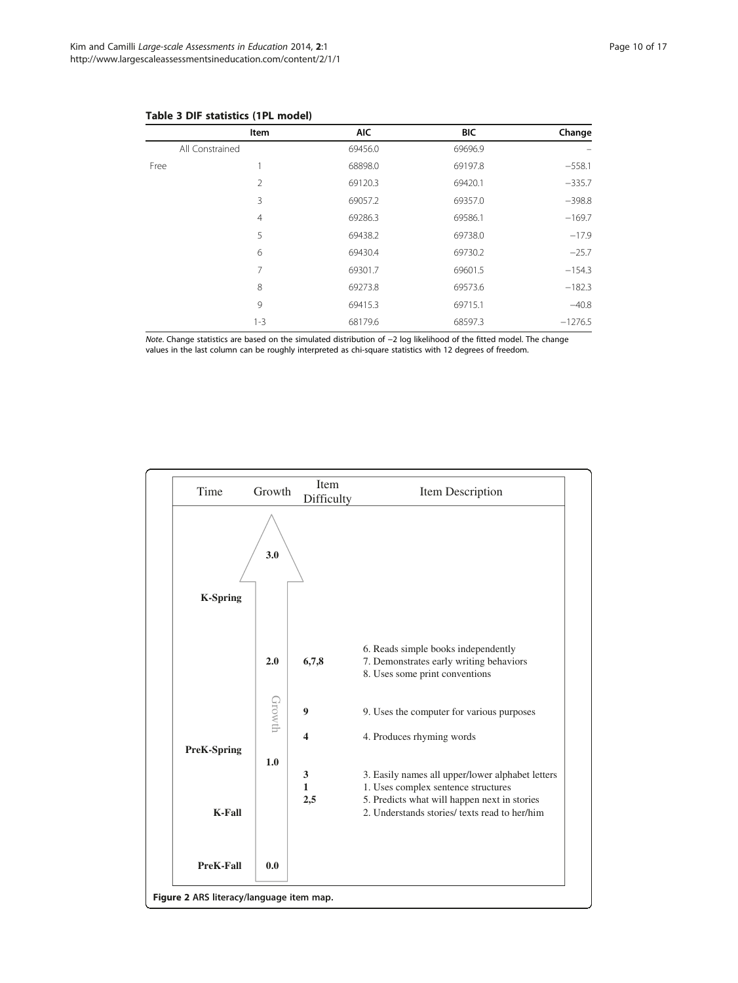|                 | Item           | <b>AIC</b> | <b>BIC</b> | Change    |
|-----------------|----------------|------------|------------|-----------|
| All Constrained |                | 69456.0    | 69696.9    |           |
| Free            |                | 68898.0    | 69197.8    | $-558.1$  |
|                 | $\overline{2}$ | 69120.3    | 69420.1    | $-335.7$  |
|                 | 3              | 69057.2    | 69357.0    | $-398.8$  |
|                 | $\overline{4}$ | 69286.3    | 69586.1    | $-169.7$  |
|                 | 5              | 69438.2    | 69738.0    | $-17.9$   |
|                 | 6              | 69430.4    | 69730.2    | $-25.7$   |
|                 | 7              | 69301.7    | 69601.5    | $-154.3$  |
|                 | 8              | 69273.8    | 69573.6    | $-182.3$  |
|                 | 9              | 69415.3    | 69715.1    | $-40.8$   |
|                 | $1 - 3$        | 68179.6    | 68597.3    | $-1276.5$ |

<span id="page-9-0"></span>

Note. Change statistics are based on the simulated distribution of −2 log likelihood of the fitted model. The change values in the last column can be roughly interpreted as chi-square statistics with 12 degrees of freedom.

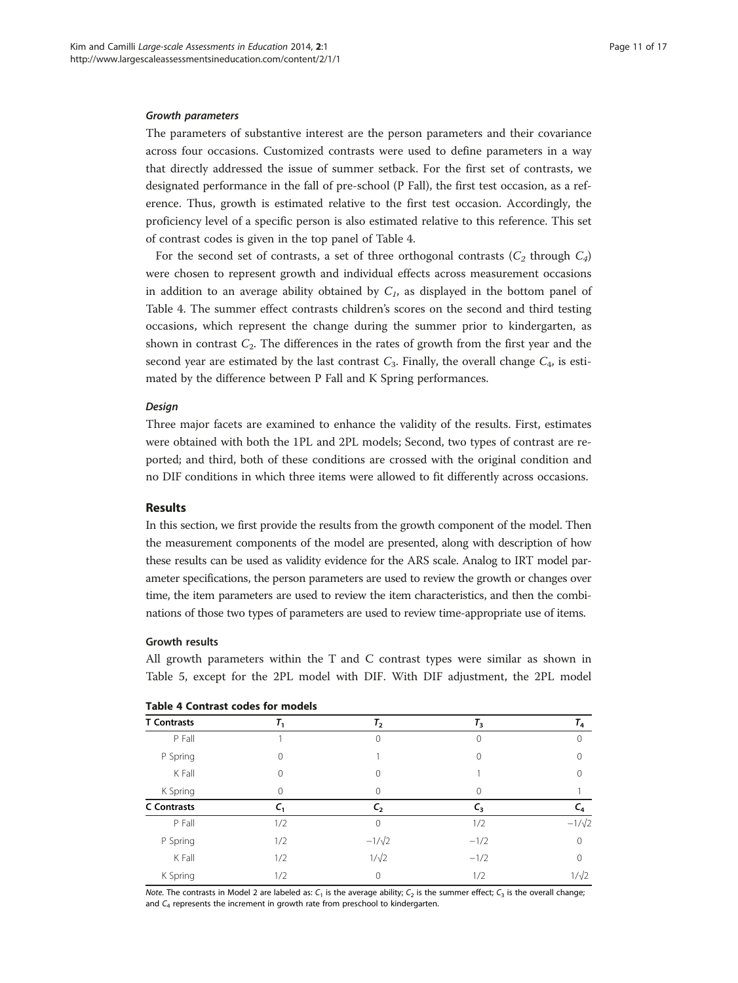#### <span id="page-10-0"></span>Growth parameters

The parameters of substantive interest are the person parameters and their covariance across four occasions. Customized contrasts were used to define parameters in a way that directly addressed the issue of summer setback. For the first set of contrasts, we designated performance in the fall of pre-school (P Fall), the first test occasion, as a reference. Thus, growth is estimated relative to the first test occasion. Accordingly, the proficiency level of a specific person is also estimated relative to this reference. This set of contrast codes is given in the top panel of Table 4.

For the second set of contrasts, a set of three orthogonal contrasts  $(C_2$  through  $C_4$ ) were chosen to represent growth and individual effects across measurement occasions in addition to an average ability obtained by  $C<sub>1</sub>$ , as displayed in the bottom panel of Table 4. The summer effect contrasts children's scores on the second and third testing occasions, which represent the change during the summer prior to kindergarten, as shown in contrast  $C_2$ . The differences in the rates of growth from the first year and the second year are estimated by the last contrast  $C_3$ . Finally, the overall change  $C_4$ , is estimated by the difference between P Fall and K Spring performances.

#### Design

Three major facets are examined to enhance the validity of the results. First, estimates were obtained with both the 1PL and 2PL models; Second, two types of contrast are reported; and third, both of these conditions are crossed with the original condition and no DIF conditions in which three items were allowed to fit differently across occasions.

#### Results

In this section, we first provide the results from the growth component of the model. Then the measurement components of the model are presented, along with description of how these results can be used as validity evidence for the ARS scale. Analog to IRT model parameter specifications, the person parameters are used to review the growth or changes over time, the item parameters are used to review the item characteristics, and then the combinations of those two types of parameters are used to review time-appropriate use of items.

#### Growth results

All growth parameters within the T and C contrast types were similar as shown in Table [5](#page-11-0), except for the 2PL model with DIF. With DIF adjustment, the 2PL model

| <b>T</b> Contrasts | $T_{1}$        | $T_{2}$        | $T_3$       | $T_{4}$       |
|--------------------|----------------|----------------|-------------|---------------|
| P Fall             |                | 0              | $\mathbf 0$ | $\Omega$      |
| P Spring           | $\Omega$       |                | 0           | 0             |
| K Fall             | $\Omega$       | $\Omega$       |             | $\Omega$      |
| K Spring           | $\Omega$       | $\Omega$       | $\Omega$    |               |
| <b>C</b> Contrasts | C <sub>1</sub> | C <sub>2</sub> | $C_3$       | $C_4$         |
| $P$ Fall           | 1/2            | $\Omega$       | 1/2         | $-1/\sqrt{2}$ |
| P Spring           | 1/2            | $-1/\sqrt{2}$  | $-1/2$      | $\Omega$      |
| K Fall             | 1/2            | $1/\sqrt{2}$   | $-1/2$      | 0             |
| K Spring           | 1/2            | $\Omega$       | 1/2         | $1/\sqrt{2}$  |

#### Table 4 Contrast codes for models

Note. The contrasts in Model 2 are labeled as:  $C_1$  is the average ability;  $C_2$  is the summer effect;  $C_3$  is the overall change; and  $C_4$  represents the increment in growth rate from preschool to kindergarten.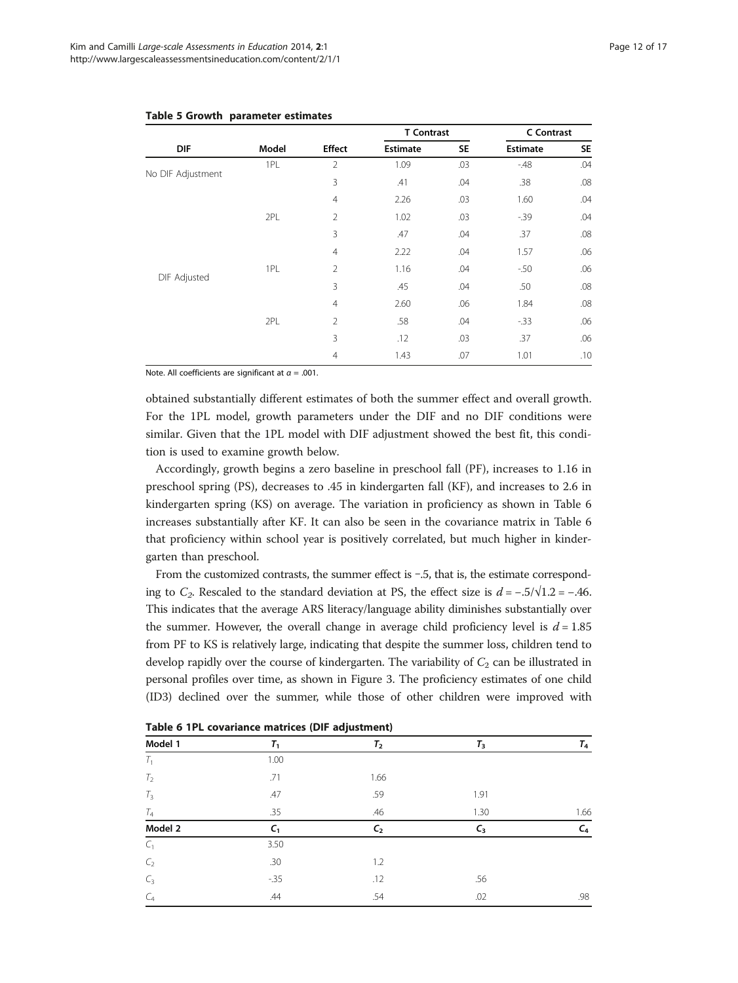|                   |       |                | <b>T</b> Contrast |           | C Contrast      |           |
|-------------------|-------|----------------|-------------------|-----------|-----------------|-----------|
| DIF               | Model | <b>Effect</b>  | <b>Estimate</b>   | <b>SE</b> | <b>Estimate</b> | <b>SE</b> |
| No DIF Adjustment | 1PL   | $\overline{2}$ | 1.09              | .03       | $-48$           | .04       |
|                   |       | 3              | .41               | .04       | .38             | .08       |
|                   |       | $\overline{4}$ | 2.26              | .03       | 1.60            | .04       |
|                   | 2PL   | $\overline{2}$ | 1.02              | .03       | $-39$           | .04       |
|                   |       | 3              | .47               | .04       | .37             | .08       |
|                   |       | $\overline{4}$ | 2.22              | .04       | 1.57            | .06       |
| DIF Adjusted      | 1PL   | $\overline{2}$ | 1.16              | .04       | $-50$           | .06       |
|                   |       | 3              | .45               | .04       | .50             | .08       |
|                   |       | $\overline{4}$ | 2.60              | .06       | 1.84            | .08       |
|                   | 2PL   | $\overline{2}$ | .58               | .04       | $-33$           | .06       |
|                   |       | 3              | .12               | .03       | .37             | .06       |
|                   |       | $\overline{4}$ | 1.43              | .07       | 1.01            | .10       |

#### <span id="page-11-0"></span>Table 5 Growth parameter estimates

Note. All coefficients are significant at  $\alpha = .001$ .

obtained substantially different estimates of both the summer effect and overall growth. For the 1PL model, growth parameters under the DIF and no DIF conditions were similar. Given that the 1PL model with DIF adjustment showed the best fit, this condition is used to examine growth below.

Accordingly, growth begins a zero baseline in preschool fall (PF), increases to 1.16 in preschool spring (PS), decreases to .45 in kindergarten fall (KF), and increases to 2.6 in kindergarten spring (KS) on average. The variation in proficiency as shown in Table 6 increases substantially after KF. It can also be seen in the covariance matrix in Table 6 that proficiency within school year is positively correlated, but much higher in kindergarten than preschool.

From the customized contrasts, the summer effect is  $-5$ , that is, the estimate corresponding to  $C_2$ . Rescaled to the standard deviation at PS, the effect size is  $d = -.5/\sqrt{1.2} = -.46$ . This indicates that the average ARS literacy/language ability diminishes substantially over the summer. However, the overall change in average child proficiency level is  $d = 1.85$ from PF to KS is relatively large, indicating that despite the summer loss, children tend to develop rapidly over the course of kindergarten. The variability of  $C_2$  can be illustrated in personal profiles over time, as shown in Figure [3.](#page-12-0) The proficiency estimates of one child (ID3) declined over the summer, while those of other children were improved with

| Model 1        | $T_{1}$ | $T_{2}$ | $T_3$ | $T_4$ |
|----------------|---------|---------|-------|-------|
| $T_1$          | 1.00    |         |       |       |
| $T_2$          | .71     | 1.66    |       |       |
| $T_3$          | .47     | .59     | 1.91  |       |
| $T_4$          | .35     | .46     | 1.30  | 1.66  |
| Model 2        | $C_1$   | $C_{2}$ | $C_3$ | $C_4$ |
| $C_1$          | 3.50    |         |       |       |
| C <sub>2</sub> | .30     | 1.2     |       |       |
| $C_3$          | $-0.35$ | .12     | .56   |       |
| $C_4$          | .44     | .54     | .02   | .98   |

| Table 6 1PL covariance matrices (DIF adjustment) |  |  |  |  |  |
|--------------------------------------------------|--|--|--|--|--|
|--------------------------------------------------|--|--|--|--|--|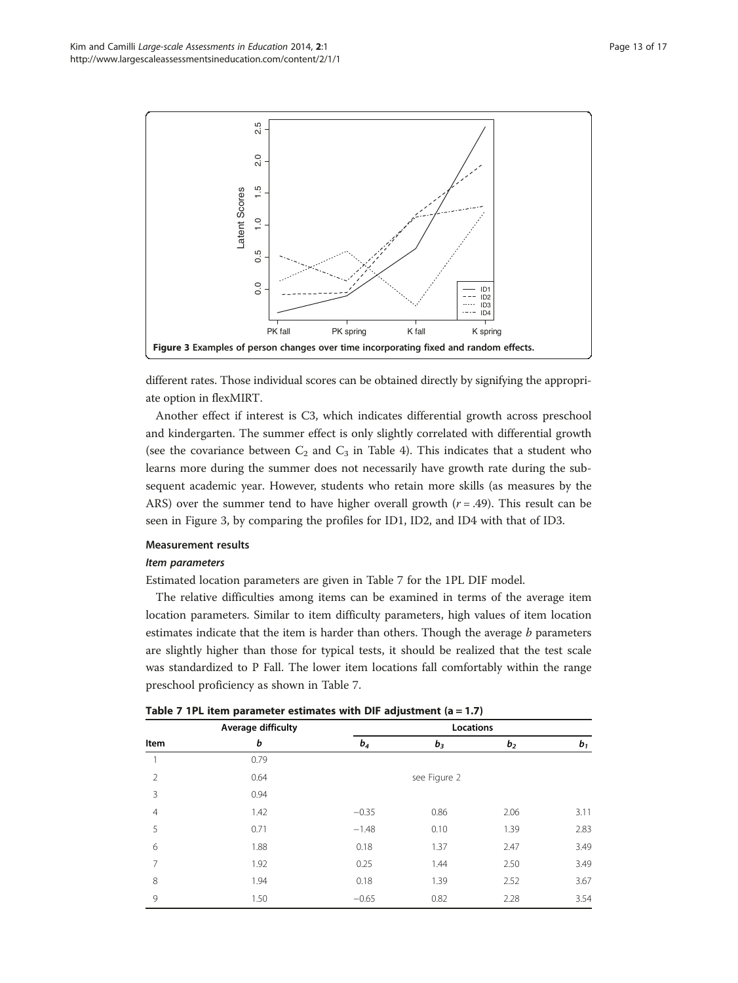<span id="page-12-0"></span>

different rates. Those individual scores can be obtained directly by signifying the appropriate option in flexMIRT.

Another effect if interest is C3, which indicates differential growth across preschool and kindergarten. The summer effect is only slightly correlated with differential growth (see the covariance between  $C_2$  and  $C_3$  in Table [4\)](#page-10-0). This indicates that a student who learns more during the summer does not necessarily have growth rate during the subsequent academic year. However, students who retain more skills (as measures by the ARS) over the summer tend to have higher overall growth  $(r = .49)$ . This result can be seen in Figure 3, by comparing the profiles for ID1, ID2, and ID4 with that of ID3.

#### Measurement results

#### Item parameters

Estimated location parameters are given in Table 7 for the 1PL DIF model.

The relative difficulties among items can be examined in terms of the average item location parameters. Similar to item difficulty parameters, high values of item location estimates indicate that the item is harder than others. Though the average  $b$  parameters are slightly higher than those for typical tests, it should be realized that the test scale was standardized to P Fall. The lower item locations fall comfortably within the range

|                | Average difficulty | Locations |              |                |                |  |
|----------------|--------------------|-----------|--------------|----------------|----------------|--|
| Item           | b                  | $b_4$     | $b_3$        | b <sub>2</sub> | b <sub>1</sub> |  |
|                | 0.79               |           |              |                |                |  |
| $\overline{2}$ | 0.64               |           | see Figure 2 |                |                |  |
| 3              | 0.94               |           |              |                |                |  |
| $\overline{4}$ | 1.42               | $-0.35$   | 0.86         | 2.06           | 3.11           |  |
| 5              | 0.71               | $-1.48$   | 0.10         | 1.39           | 2.83           |  |
| 6              | 1.88               | 0.18      | 1.37         | 2.47           | 3.49           |  |
| 7              | 1.92               | 0.25      | 1.44         | 2.50           | 3.49           |  |
| 8              | 1.94               | 0.18      | 1.39         | 2.52           | 3.67           |  |
| 9              | 1.50               | $-0.65$   | 0.82         | 2.28           | 3.54           |  |

Table 7 1PL item parameter estimates with DIF adjustment  $(a = 1.7)$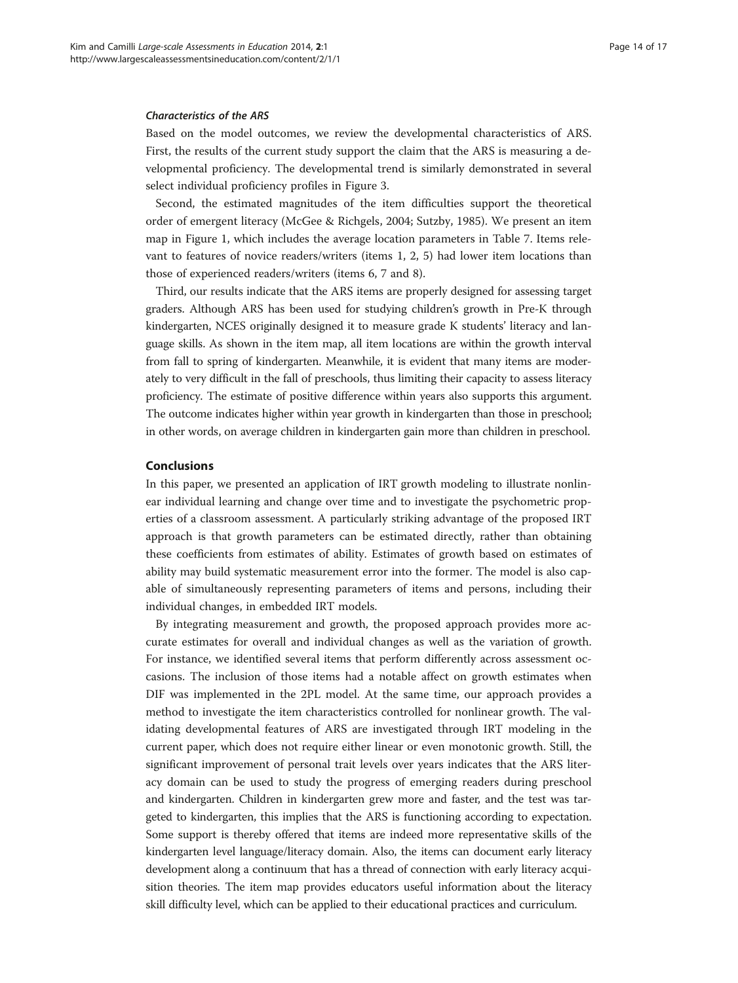#### Characteristics of the ARS

Based on the model outcomes, we review the developmental characteristics of ARS. First, the results of the current study support the claim that the ARS is measuring a developmental proficiency. The developmental trend is similarly demonstrated in several select individual proficiency profiles in Figure [3](#page-12-0).

Second, the estimated magnitudes of the item difficulties support the theoretical order of emergent literacy (McGee & Richgels, [2004](#page-16-0); Sutzby, [1985](#page-16-0)). We present an item map in Figure [1](#page-8-0), which includes the average location parameters in Table [7.](#page-12-0) Items relevant to features of novice readers/writers (items 1, 2, 5) had lower item locations than those of experienced readers/writers (items 6, 7 and 8).

Third, our results indicate that the ARS items are properly designed for assessing target graders. Although ARS has been used for studying children's growth in Pre-K through kindergarten, NCES originally designed it to measure grade K students' literacy and language skills. As shown in the item map, all item locations are within the growth interval from fall to spring of kindergarten. Meanwhile, it is evident that many items are moderately to very difficult in the fall of preschools, thus limiting their capacity to assess literacy proficiency. The estimate of positive difference within years also supports this argument. The outcome indicates higher within year growth in kindergarten than those in preschool; in other words, on average children in kindergarten gain more than children in preschool.

### Conclusions

In this paper, we presented an application of IRT growth modeling to illustrate nonlinear individual learning and change over time and to investigate the psychometric properties of a classroom assessment. A particularly striking advantage of the proposed IRT approach is that growth parameters can be estimated directly, rather than obtaining these coefficients from estimates of ability. Estimates of growth based on estimates of ability may build systematic measurement error into the former. The model is also capable of simultaneously representing parameters of items and persons, including their individual changes, in embedded IRT models.

By integrating measurement and growth, the proposed approach provides more accurate estimates for overall and individual changes as well as the variation of growth. For instance, we identified several items that perform differently across assessment occasions. The inclusion of those items had a notable affect on growth estimates when DIF was implemented in the 2PL model. At the same time, our approach provides a method to investigate the item characteristics controlled for nonlinear growth. The validating developmental features of ARS are investigated through IRT modeling in the current paper, which does not require either linear or even monotonic growth. Still, the significant improvement of personal trait levels over years indicates that the ARS literacy domain can be used to study the progress of emerging readers during preschool and kindergarten. Children in kindergarten grew more and faster, and the test was targeted to kindergarten, this implies that the ARS is functioning according to expectation. Some support is thereby offered that items are indeed more representative skills of the kindergarten level language/literacy domain. Also, the items can document early literacy development along a continuum that has a thread of connection with early literacy acquisition theories. The item map provides educators useful information about the literacy skill difficulty level, which can be applied to their educational practices and curriculum.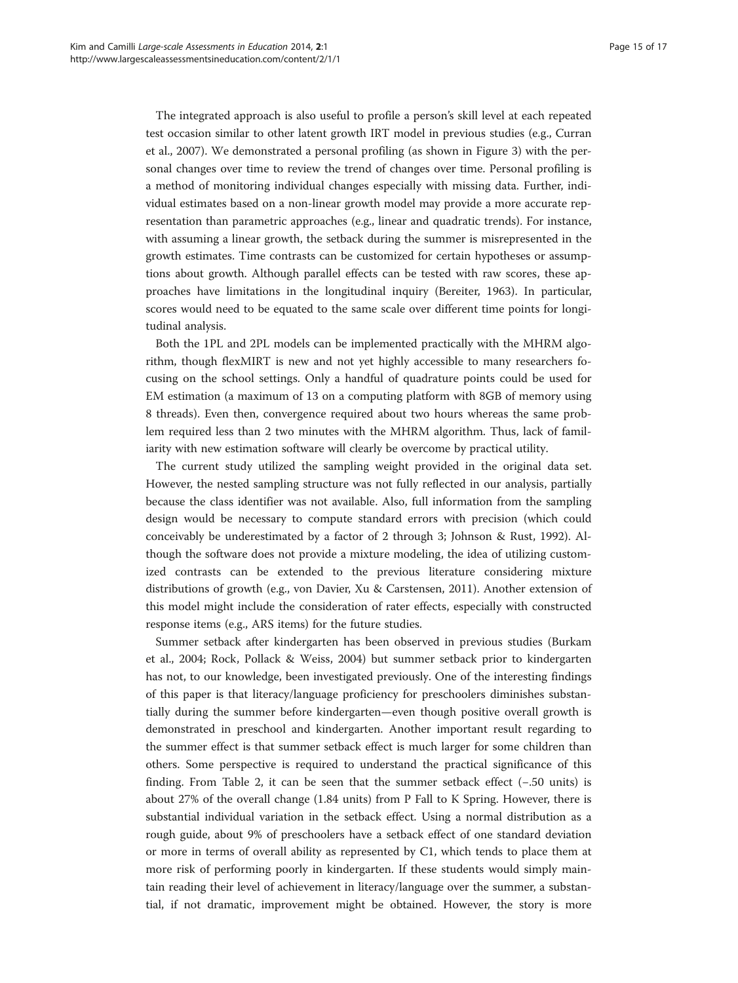The integrated approach is also useful to profile a person's skill level at each repeated test occasion similar to other latent growth IRT model in previous studies (e.g., Curran et al., [2007](#page-15-0)). We demonstrated a personal profiling (as shown in Figure [3](#page-12-0)) with the personal changes over time to review the trend of changes over time. Personal profiling is a method of monitoring individual changes especially with missing data. Further, individual estimates based on a non-linear growth model may provide a more accurate representation than parametric approaches (e.g., linear and quadratic trends). For instance, with assuming a linear growth, the setback during the summer is misrepresented in the growth estimates. Time contrasts can be customized for certain hypotheses or assumptions about growth. Although parallel effects can be tested with raw scores, these approaches have limitations in the longitudinal inquiry (Bereiter, [1963](#page-15-0)). In particular, scores would need to be equated to the same scale over different time points for longitudinal analysis.

Both the 1PL and 2PL models can be implemented practically with the MHRM algorithm, though flexMIRT is new and not yet highly accessible to many researchers focusing on the school settings. Only a handful of quadrature points could be used for EM estimation (a maximum of 13 on a computing platform with 8GB of memory using 8 threads). Even then, convergence required about two hours whereas the same problem required less than 2 two minutes with the MHRM algorithm. Thus, lack of familiarity with new estimation software will clearly be overcome by practical utility.

The current study utilized the sampling weight provided in the original data set. However, the nested sampling structure was not fully reflected in our analysis, partially because the class identifier was not available. Also, full information from the sampling design would be necessary to compute standard errors with precision (which could conceivably be underestimated by a factor of 2 through 3; Johnson & Rust, [1992\)](#page-16-0). Although the software does not provide a mixture modeling, the idea of utilizing customized contrasts can be extended to the previous literature considering mixture distributions of growth (e.g., von Davier, Xu & Carstensen, [2011\)](#page-16-0). Another extension of this model might include the consideration of rater effects, especially with constructed response items (e.g., ARS items) for the future studies.

Summer setback after kindergarten has been observed in previous studies (Burkam et al., [2004](#page-15-0); Rock, Pollack & Weiss, [2004](#page-16-0)) but summer setback prior to kindergarten has not, to our knowledge, been investigated previously. One of the interesting findings of this paper is that literacy/language proficiency for preschoolers diminishes substantially during the summer before kindergarten—even though positive overall growth is demonstrated in preschool and kindergarten. Another important result regarding to the summer effect is that summer setback effect is much larger for some children than others. Some perspective is required to understand the practical significance of this finding. From Table [2,](#page-8-0) it can be seen that the summer setback effect (−.50 units) is about 27% of the overall change (1.84 units) from P Fall to K Spring. However, there is substantial individual variation in the setback effect. Using a normal distribution as a rough guide, about 9% of preschoolers have a setback effect of one standard deviation or more in terms of overall ability as represented by C1, which tends to place them at more risk of performing poorly in kindergarten. If these students would simply maintain reading their level of achievement in literacy/language over the summer, a substantial, if not dramatic, improvement might be obtained. However, the story is more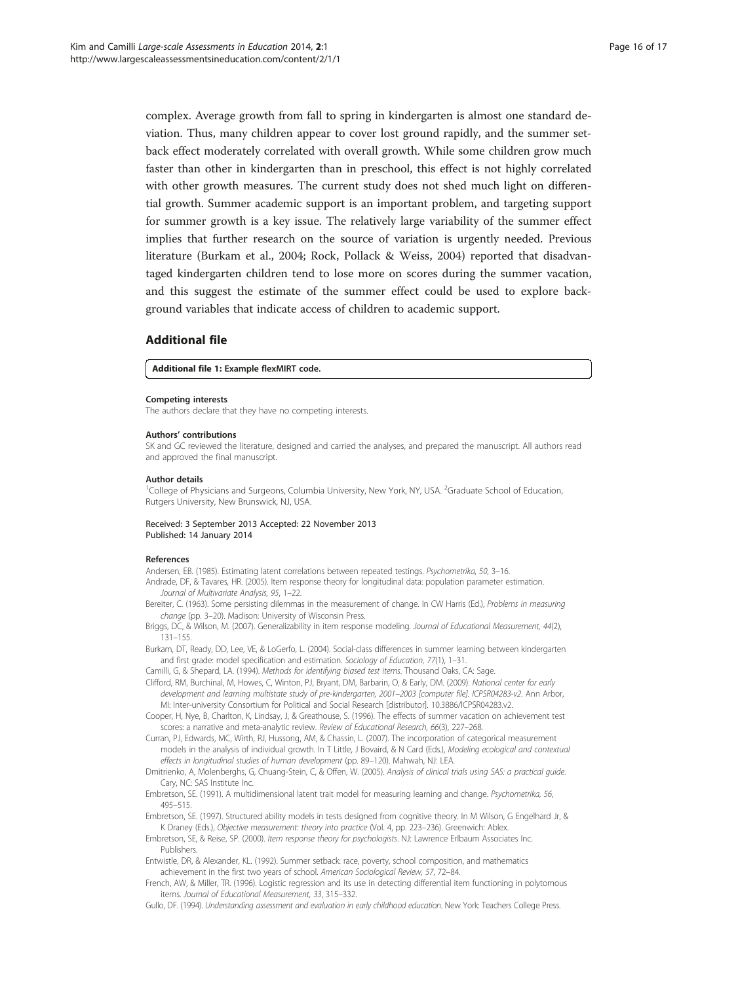<span id="page-15-0"></span>complex. Average growth from fall to spring in kindergarten is almost one standard deviation. Thus, many children appear to cover lost ground rapidly, and the summer setback effect moderately correlated with overall growth. While some children grow much faster than other in kindergarten than in preschool, this effect is not highly correlated with other growth measures. The current study does not shed much light on differential growth. Summer academic support is an important problem, and targeting support for summer growth is a key issue. The relatively large variability of the summer effect implies that further research on the source of variation is urgently needed. Previous literature (Burkam et al., 2004; Rock, Pollack & Weiss, [2004\)](#page-16-0) reported that disadvantaged kindergarten children tend to lose more on scores during the summer vacation, and this suggest the estimate of the summer effect could be used to explore background variables that indicate access of children to academic support.

#### Additional file

#### [Additional file 1:](http://www.biomedcentral.com/content/supplementary/2196-0739-2-1-1-S1.doc) Example flexMIRT code.

#### Competing interests

The authors declare that they have no competing interests.

#### Authors' contributions

SK and GC reviewed the literature, designed and carried the analyses, and prepared the manuscript. All authors read and approved the final manuscript.

#### Author details

<sup>1</sup>College of Physicians and Surgeons, Columbia University, New York, NY, USA. <sup>2</sup>Graduate School of Education, Rutgers University, New Brunswick, NJ, USA.

#### Received: 3 September 2013 Accepted: 22 November 2013 Published: 14 January 2014

#### References

Andersen, EB. (1985). Estimating latent correlations between repeated testings. Psychometrika, 50, 3–16.

- Andrade, DF, & Tavares, HR. (2005). Item response theory for longitudinal data: population parameter estimation. Journal of Multivariate Analysis, 95, 1–22.
- Bereiter, C. (1963). Some persisting dilemmas in the measurement of change. In CW Harris (Ed.), Problems in measuring change (pp. 3–20). Madison: University of Wisconsin Press.
- Briggs, DC, & Wilson, M. (2007). Generalizability in item response modeling. Journal of Educational Measurement, 44(2), 131–155.
- Burkam, DT, Ready, DD, Lee, VE, & LoGerfo, L. (2004). Social-class differences in summer learning between kindergarten and first grade: model specification and estimation. Sociology of Education, 77(1), 1–31.
- Camilli, G, & Shepard, LA. (1994). Methods for identifying biased test items. Thousand Oaks, CA: Sage.
- Clifford, RM, Burchinal, M, Howes, C, Winton, PJ, Bryant, DM, Barbarin, O, & Early, DM. (2009). National center for early development and learning multistate study of pre-kindergarten, 2001–2003 [computer file]. ICPSR04283-v2. Ann Arbor, MI: Inter-university Consortium for Political and Social Research [distributor]. 10.3886/ICPSR04283.v2.
- Cooper, H, Nye, B, Charlton, K, Lindsay, J, & Greathouse, S. (1996). The effects of summer vacation on achievement test scores: a narrative and meta-analytic review. Review of Educational Research, 66(3), 227–268.
- Curran, PJ, Edwards, MC, Wirth, RJ, Hussong, AM, & Chassin, L. (2007). The incorporation of categorical measurement models in the analysis of individual growth. In T Little, J Bovaird, & N Card (Eds.), Modeling ecological and contextual effects in longitudinal studies of human development (pp. 89–120). Mahwah, NJ: LEA.
- Dmitrienko, A, Molenberghs, G, Chuang-Stein, C, & Offen, W. (2005). Analysis of clinical trials using SAS: a practical guide. Cary, NC: SAS Institute Inc.
- Embretson, SE. (1991). A multidimensional latent trait model for measuring learning and change. Psychometrika, 56, 495–515.
- Embretson, SE. (1997). Structured ability models in tests designed from cognitive theory. In M Wilson, G Engelhard Jr, & K Draney (Eds.), Objective measurement: theory into practice (Vol. 4, pp. 223–236). Greenwich: Ablex.

Embretson, SE, & Reise, SP. (2000). Item response theory for psychologists. NJ: Lawrence Erlbaum Associates Inc. Publishers.

- Entwistle, DR, & Alexander, KL. (1992). Summer setback: race, poverty, school composition, and mathematics achievement in the first two years of school. American Sociological Review, 57, 72–84.
- French, AW, & Miller, TR. (1996). Logistic regression and its use in detecting differential item functioning in polytomous items. Journal of Educational Measurement, 33, 315–332.
- Gullo, DF. (1994). Understanding assessment and evaluation in early childhood education. New York: Teachers College Press.